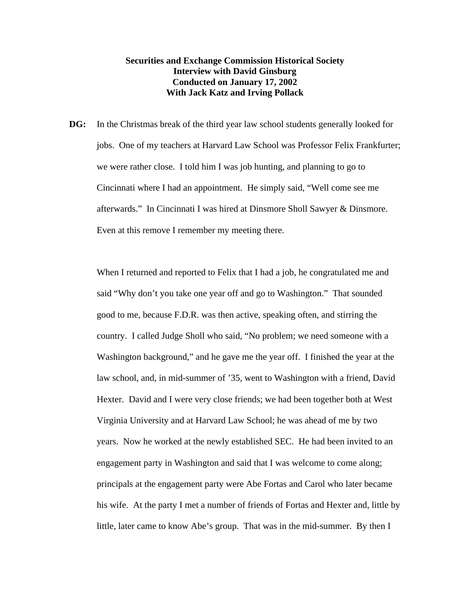## **Securities and Exchange Commission Historical Society Interview with David Ginsburg Conducted on January 17, 2002 With Jack Katz and Irving Pollack**

**DG:** In the Christmas break of the third year law school students generally looked for jobs. One of my teachers at Harvard Law School was Professor Felix Frankfurter; we were rather close. I told him I was job hunting, and planning to go to Cincinnati where I had an appointment. He simply said, "Well come see me afterwards." In Cincinnati I was hired at Dinsmore Sholl Sawyer & Dinsmore. Even at this remove I remember my meeting there.

When I returned and reported to Felix that I had a job, he congratulated me and said "Why don't you take one year off and go to Washington." That sounded good to me, because F.D.R. was then active, speaking often, and stirring the country. I called Judge Sholl who said, "No problem; we need someone with a Washington background," and he gave me the year off. I finished the year at the law school, and, in mid-summer of '35, went to Washington with a friend, David Hexter. David and I were very close friends; we had been together both at West Virginia University and at Harvard Law School; he was ahead of me by two years. Now he worked at the newly established SEC. He had been invited to an engagement party in Washington and said that I was welcome to come along; principals at the engagement party were Abe Fortas and Carol who later became his wife. At the party I met a number of friends of Fortas and Hexter and, little by little, later came to know Abe's group. That was in the mid-summer. By then I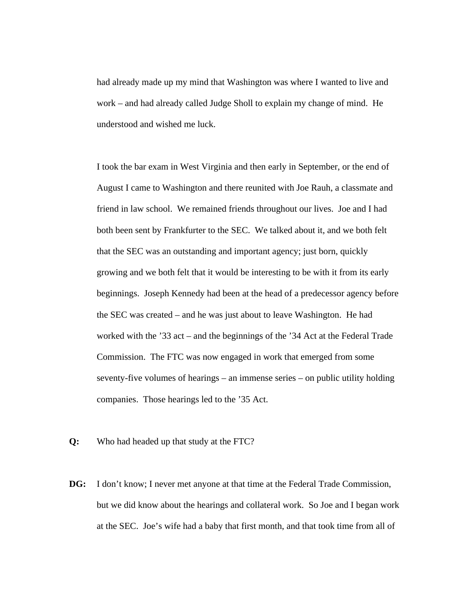had already made up my mind that Washington was where I wanted to live and work – and had already called Judge Sholl to explain my change of mind. He understood and wished me luck.

I took the bar exam in West Virginia and then early in September, or the end of August I came to Washington and there reunited with Joe Rauh, a classmate and friend in law school. We remained friends throughout our lives. Joe and I had both been sent by Frankfurter to the SEC. We talked about it, and we both felt that the SEC was an outstanding and important agency; just born, quickly growing and we both felt that it would be interesting to be with it from its early beginnings. Joseph Kennedy had been at the head of a predecessor agency before the SEC was created – and he was just about to leave Washington. He had worked with the '33 act – and the beginnings of the '34 Act at the Federal Trade Commission. The FTC was now engaged in work that emerged from some seventy-five volumes of hearings – an immense series – on public utility holding companies. Those hearings led to the '35 Act.

- **Q:** Who had headed up that study at the FTC?
- **DG:** I don't know; I never met anyone at that time at the Federal Trade Commission, but we did know about the hearings and collateral work. So Joe and I began work at the SEC. Joe's wife had a baby that first month, and that took time from all of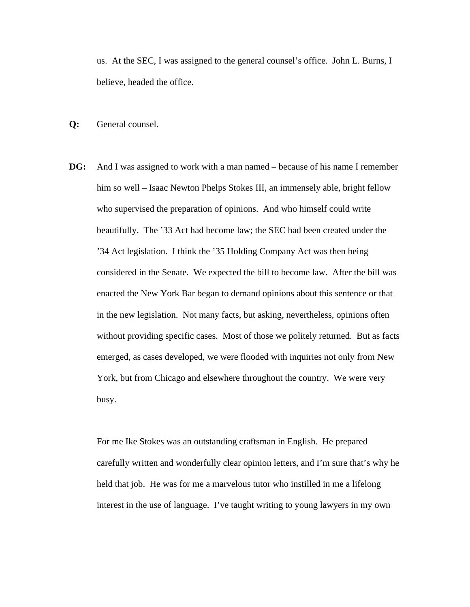us. At the SEC, I was assigned to the general counsel's office. John L. Burns, I believe, headed the office.

**Q:** General counsel.

**DG:** And I was assigned to work with a man named – because of his name I remember him so well – Isaac Newton Phelps Stokes III, an immensely able, bright fellow who supervised the preparation of opinions. And who himself could write beautifully. The '33 Act had become law; the SEC had been created under the '34 Act legislation. I think the '35 Holding Company Act was then being considered in the Senate. We expected the bill to become law. After the bill was enacted the New York Bar began to demand opinions about this sentence or that in the new legislation. Not many facts, but asking, nevertheless, opinions often without providing specific cases. Most of those we politely returned. But as facts emerged, as cases developed, we were flooded with inquiries not only from New York, but from Chicago and elsewhere throughout the country. We were very busy.

For me Ike Stokes was an outstanding craftsman in English. He prepared carefully written and wonderfully clear opinion letters, and I'm sure that's why he held that job. He was for me a marvelous tutor who instilled in me a lifelong interest in the use of language. I've taught writing to young lawyers in my own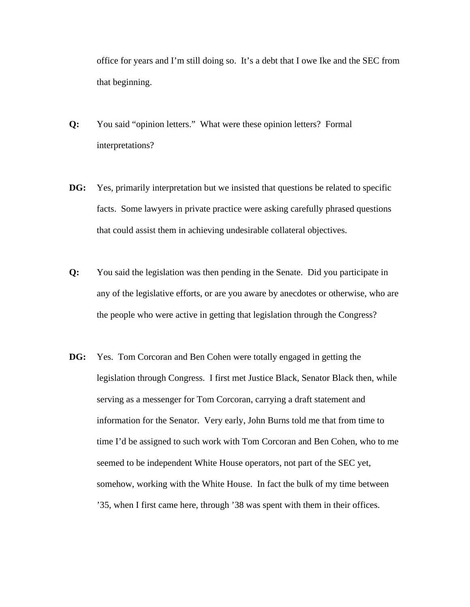office for years and I'm still doing so. It's a debt that I owe Ike and the SEC from that beginning.

- **Q:** You said "opinion letters." What were these opinion letters? Formal interpretations?
- **DG:** Yes, primarily interpretation but we insisted that questions be related to specific facts. Some lawyers in private practice were asking carefully phrased questions that could assist them in achieving undesirable collateral objectives.
- **Q:** You said the legislation was then pending in the Senate. Did you participate in any of the legislative efforts, or are you aware by anecdotes or otherwise, who are the people who were active in getting that legislation through the Congress?
- **DG:** Yes. Tom Corcoran and Ben Cohen were totally engaged in getting the legislation through Congress. I first met Justice Black, Senator Black then, while serving as a messenger for Tom Corcoran, carrying a draft statement and information for the Senator. Very early, John Burns told me that from time to time I'd be assigned to such work with Tom Corcoran and Ben Cohen, who to me seemed to be independent White House operators, not part of the SEC yet, somehow, working with the White House. In fact the bulk of my time between '35, when I first came here, through '38 was spent with them in their offices.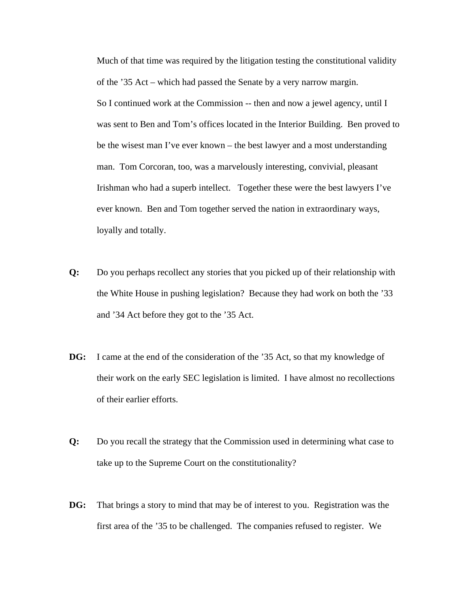Much of that time was required by the litigation testing the constitutional validity of the '35 Act – which had passed the Senate by a very narrow margin. So I continued work at the Commission -- then and now a jewel agency, until I was sent to Ben and Tom's offices located in the Interior Building. Ben proved to be the wisest man I've ever known – the best lawyer and a most understanding man. Tom Corcoran, too, was a marvelously interesting, convivial, pleasant Irishman who had a superb intellect. Together these were the best lawyers I've ever known. Ben and Tom together served the nation in extraordinary ways, loyally and totally.

- **Q:** Do you perhaps recollect any stories that you picked up of their relationship with the White House in pushing legislation? Because they had work on both the '33 and '34 Act before they got to the '35 Act.
- **DG:** I came at the end of the consideration of the '35 Act, so that my knowledge of their work on the early SEC legislation is limited. I have almost no recollections of their earlier efforts.
- **Q:** Do you recall the strategy that the Commission used in determining what case to take up to the Supreme Court on the constitutionality?
- **DG:** That brings a story to mind that may be of interest to you. Registration was the first area of the '35 to be challenged. The companies refused to register. We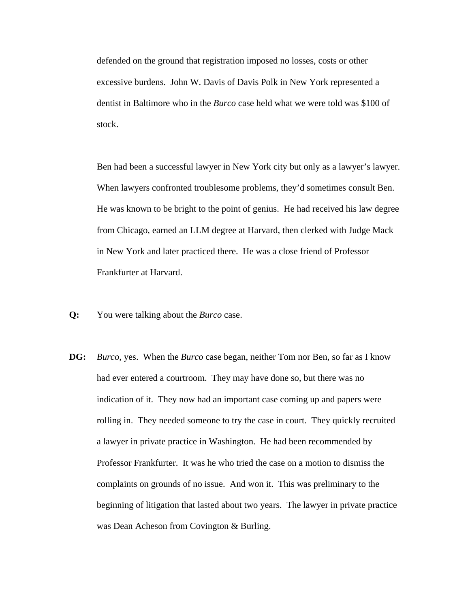defended on the ground that registration imposed no losses, costs or other excessive burdens. John W. Davis of Davis Polk in New York represented a dentist in Baltimore who in the *Burco* case held what we were told was \$100 of stock.

Ben had been a successful lawyer in New York city but only as a lawyer's lawyer. When lawyers confronted troublesome problems, they'd sometimes consult Ben. He was known to be bright to the point of genius. He had received his law degree from Chicago, earned an LLM degree at Harvard, then clerked with Judge Mack in New York and later practiced there. He was a close friend of Professor Frankfurter at Harvard.

- **Q:** You were talking about the *Burco* case.
- **DG:** *Burco*, yes. When the *Burco* case began, neither Tom nor Ben, so far as I know had ever entered a courtroom. They may have done so, but there was no indication of it. They now had an important case coming up and papers were rolling in. They needed someone to try the case in court. They quickly recruited a lawyer in private practice in Washington. He had been recommended by Professor Frankfurter. It was he who tried the case on a motion to dismiss the complaints on grounds of no issue. And won it. This was preliminary to the beginning of litigation that lasted about two years. The lawyer in private practice was Dean Acheson from Covington & Burling.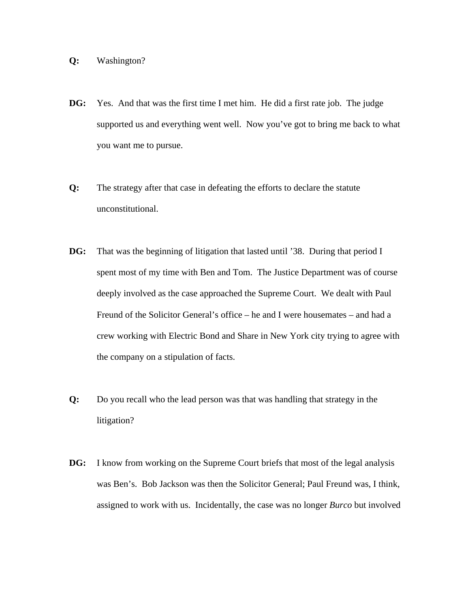## **Q:** Washington?

- **DG:** Yes. And that was the first time I met him. He did a first rate job. The judge supported us and everything went well. Now you've got to bring me back to what you want me to pursue.
- **Q:** The strategy after that case in defeating the efforts to declare the statute unconstitutional.
- **DG:** That was the beginning of litigation that lasted until '38. During that period I spent most of my time with Ben and Tom. The Justice Department was of course deeply involved as the case approached the Supreme Court. We dealt with Paul Freund of the Solicitor General's office – he and I were housemates – and had a crew working with Electric Bond and Share in New York city trying to agree with the company on a stipulation of facts.
- **Q:** Do you recall who the lead person was that was handling that strategy in the litigation?
- **DG:** I know from working on the Supreme Court briefs that most of the legal analysis was Ben's. Bob Jackson was then the Solicitor General; Paul Freund was, I think, assigned to work with us. Incidentally, the case was no longer *Burco* but involved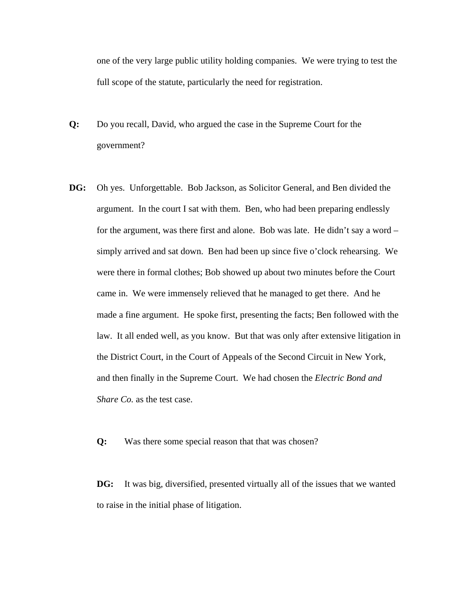one of the very large public utility holding companies. We were trying to test the full scope of the statute, particularly the need for registration.

- **Q:** Do you recall, David, who argued the case in the Supreme Court for the government?
- **DG:** Oh yes. Unforgettable. Bob Jackson, as Solicitor General, and Ben divided the argument. In the court I sat with them. Ben, who had been preparing endlessly for the argument, was there first and alone. Bob was late. He didn't say a word – simply arrived and sat down. Ben had been up since five o'clock rehearsing. We were there in formal clothes; Bob showed up about two minutes before the Court came in. We were immensely relieved that he managed to get there. And he made a fine argument. He spoke first, presenting the facts; Ben followed with the law. It all ended well, as you know. But that was only after extensive litigation in the District Court, in the Court of Appeals of the Second Circuit in New York, and then finally in the Supreme Court. We had chosen the *Electric Bond and Share Co.* as the test case.
	- **Q:** Was there some special reason that that was chosen?

**DG:** It was big, diversified, presented virtually all of the issues that we wanted to raise in the initial phase of litigation.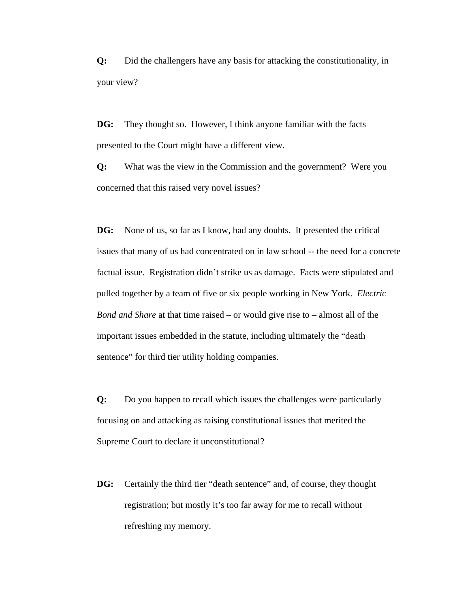**Q:** Did the challengers have any basis for attacking the constitutionality, in your view?

**DG:** They thought so. However, I think anyone familiar with the facts presented to the Court might have a different view.

**Q:** What was the view in the Commission and the government? Were you concerned that this raised very novel issues?

**DG:** None of us, so far as I know, had any doubts. It presented the critical issues that many of us had concentrated on in law school -- the need for a concrete factual issue. Registration didn't strike us as damage. Facts were stipulated and pulled together by a team of five or six people working in New York. *Electric Bond and Share* at that time raised – or would give rise to – almost all of the important issues embedded in the statute, including ultimately the "death sentence" for third tier utility holding companies.

**Q:** Do you happen to recall which issues the challenges were particularly focusing on and attacking as raising constitutional issues that merited the Supreme Court to declare it unconstitutional?

**DG:** Certainly the third tier "death sentence" and, of course, they thought registration; but mostly it's too far away for me to recall without refreshing my memory.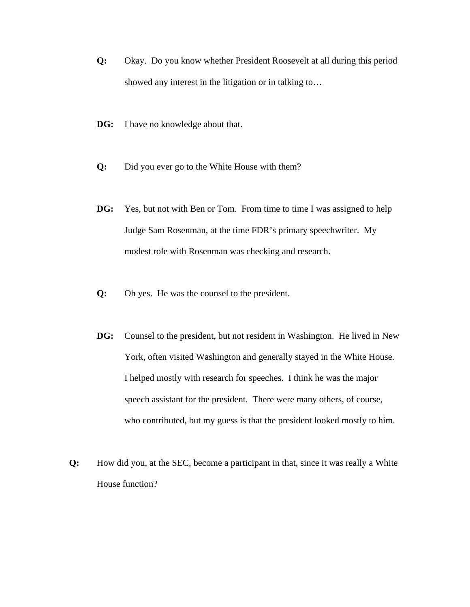- **Q:** Okay. Do you know whether President Roosevelt at all during this period showed any interest in the litigation or in talking to…
- **DG:** I have no knowledge about that.
- **Q:** Did you ever go to the White House with them?
- **DG:** Yes, but not with Ben or Tom. From time to time I was assigned to help Judge Sam Rosenman, at the time FDR's primary speechwriter. My modest role with Rosenman was checking and research.
- **Q:** Oh yes. He was the counsel to the president.
- **DG:** Counsel to the president, but not resident in Washington. He lived in New York, often visited Washington and generally stayed in the White House. I helped mostly with research for speeches. I think he was the major speech assistant for the president. There were many others, of course, who contributed, but my guess is that the president looked mostly to him.
- **Q:** How did you, at the SEC, become a participant in that, since it was really a White House function?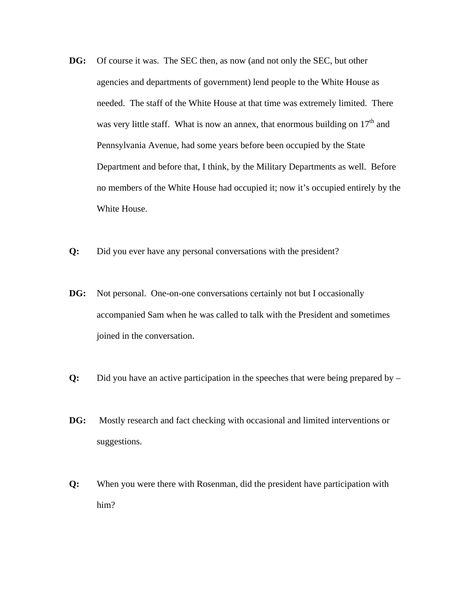- **DG:** Of course it was. The SEC then, as now (and not only the SEC, but other agencies and departments of government) lend people to the White House as needed. The staff of the White House at that time was extremely limited. There was very little staff. What is now an annex, that enormous building on  $17<sup>th</sup>$  and Pennsylvania Avenue, had some years before been occupied by the State Department and before that, I think, by the Military Departments as well. Before no members of the White House had occupied it; now it's occupied entirely by the White House.
- **Q:** Did you ever have any personal conversations with the president?
- **DG:** Not personal. One-on-one conversations certainly not but I occasionally accompanied Sam when he was called to talk with the President and sometimes joined in the conversation.
- **Q:** Did you have an active participation in the speeches that were being prepared by –
- **DG:** Mostly research and fact checking with occasional and limited interventions or suggestions.
- **Q:** When you were there with Rosenman, did the president have participation with him?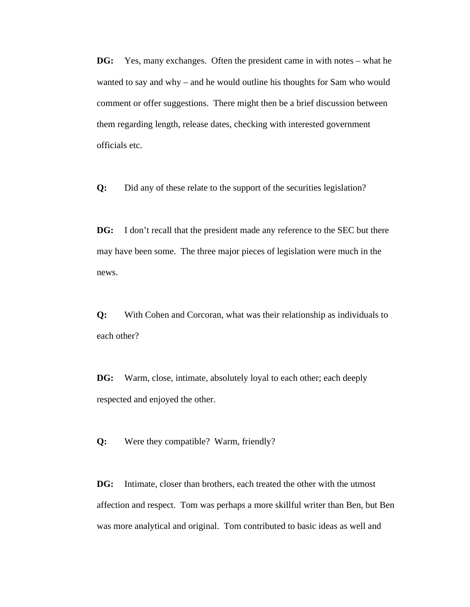**DG:** Yes, many exchanges. Often the president came in with notes – what he wanted to say and why – and he would outline his thoughts for Sam who would comment or offer suggestions. There might then be a brief discussion between them regarding length, release dates, checking with interested government officials etc.

**Q:** Did any of these relate to the support of the securities legislation?

**DG:** I don't recall that the president made any reference to the SEC but there may have been some. The three major pieces of legislation were much in the news.

**Q:** With Cohen and Corcoran, what was their relationship as individuals to each other?

**DG:** Warm, close, intimate, absolutely loyal to each other; each deeply respected and enjoyed the other.

**Q:** Were they compatible? Warm, friendly?

**DG:** Intimate, closer than brothers, each treated the other with the utmost affection and respect. Tom was perhaps a more skillful writer than Ben, but Ben was more analytical and original. Tom contributed to basic ideas as well and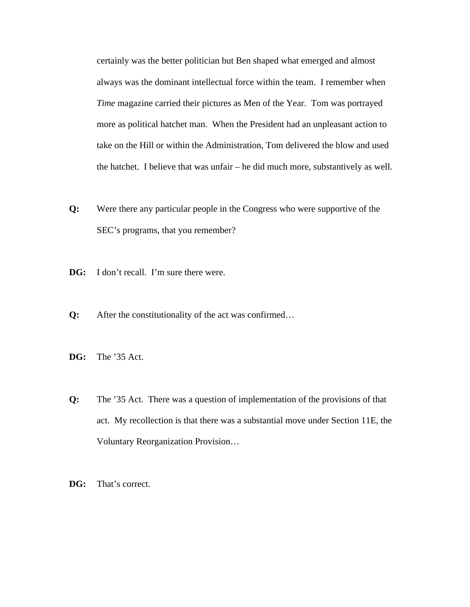certainly was the better politician but Ben shaped what emerged and almost always was the dominant intellectual force within the team. I remember when *Time* magazine carried their pictures as Men of the Year. Tom was portrayed more as political hatchet man. When the President had an unpleasant action to take on the Hill or within the Administration, Tom delivered the blow and used the hatchet. I believe that was unfair – he did much more, substantively as well.

- **Q:** Were there any particular people in the Congress who were supportive of the SEC's programs, that you remember?
- **DG:** I don't recall. I'm sure there were.
- **Q:** After the constitutionality of the act was confirmed…
- **DG:** The '35 Act.
- **Q:** The '35 Act. There was a question of implementation of the provisions of that act. My recollection is that there was a substantial move under Section 11E, the Voluntary Reorganization Provision…
- **DG:** That's correct.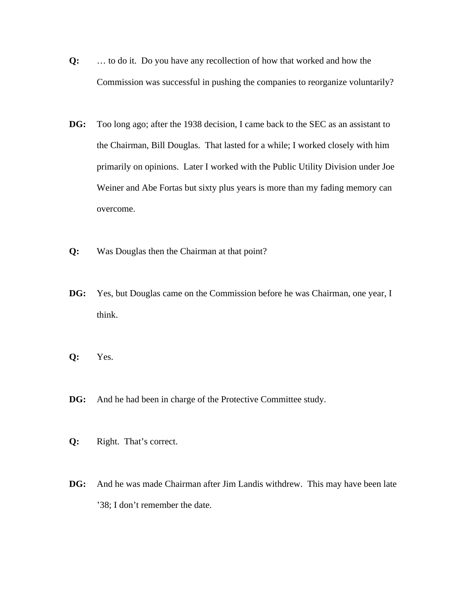- **Q:** … to do it. Do you have any recollection of how that worked and how the Commission was successful in pushing the companies to reorganize voluntarily?
- **DG:** Too long ago; after the 1938 decision, I came back to the SEC as an assistant to the Chairman, Bill Douglas. That lasted for a while; I worked closely with him primarily on opinions. Later I worked with the Public Utility Division under Joe Weiner and Abe Fortas but sixty plus years is more than my fading memory can overcome.
- **Q:** Was Douglas then the Chairman at that point?
- **DG:** Yes, but Douglas came on the Commission before he was Chairman, one year, I think.
- **Q:** Yes.
- **DG:** And he had been in charge of the Protective Committee study.
- **Q:** Right. That's correct.
- **DG:** And he was made Chairman after Jim Landis withdrew. This may have been late '38; I don't remember the date.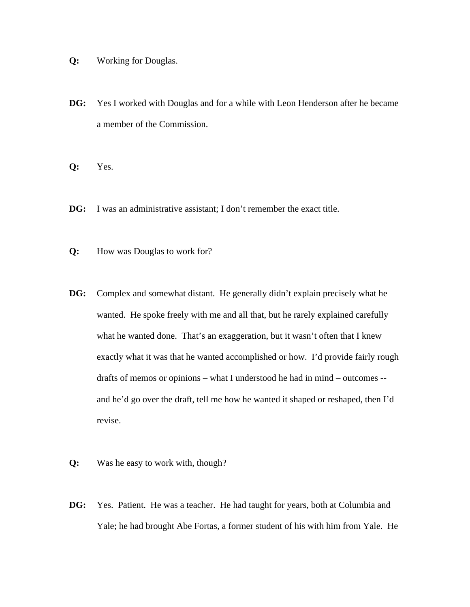- **Q:** Working for Douglas.
- **DG:** Yes I worked with Douglas and for a while with Leon Henderson after he became a member of the Commission.
- **Q:** Yes.
- **DG:** I was an administrative assistant; I don't remember the exact title.
- **Q:** How was Douglas to work for?
- **DG:** Complex and somewhat distant. He generally didn't explain precisely what he wanted. He spoke freely with me and all that, but he rarely explained carefully what he wanted done. That's an exaggeration, but it wasn't often that I knew exactly what it was that he wanted accomplished or how. I'd provide fairly rough drafts of memos or opinions – what I understood he had in mind – outcomes - and he'd go over the draft, tell me how he wanted it shaped or reshaped, then I'd revise.
- **Q:** Was he easy to work with, though?
- **DG:** Yes. Patient. He was a teacher. He had taught for years, both at Columbia and Yale; he had brought Abe Fortas, a former student of his with him from Yale. He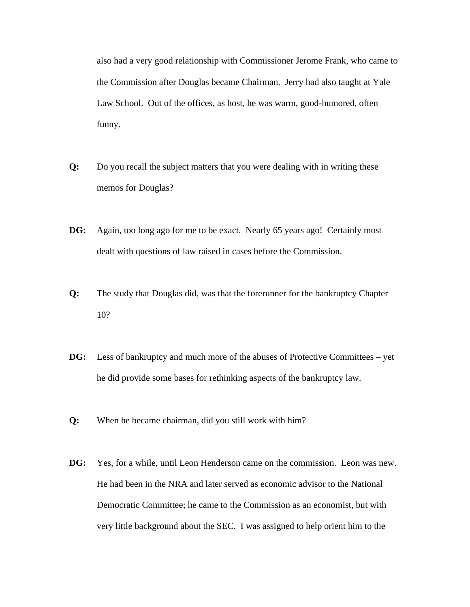also had a very good relationship with Commissioner Jerome Frank, who came to the Commission after Douglas became Chairman. Jerry had also taught at Yale Law School. Out of the offices, as host, he was warm, good-humored, often funny.

- **Q:** Do you recall the subject matters that you were dealing with in writing these memos for Douglas?
- **DG:** Again, too long ago for me to be exact. Nearly 65 years ago! Certainly most dealt with questions of law raised in cases before the Commission.
- **Q:** The study that Douglas did, was that the forerunner for the bankruptcy Chapter 10?
- **DG:** Less of bankruptcy and much more of the abuses of Protective Committees yet he did provide some bases for rethinking aspects of the bankruptcy law.
- **Q:** When he became chairman, did you still work with him?
- **DG:** Yes, for a while, until Leon Henderson came on the commission. Leon was new. He had been in the NRA and later served as economic advisor to the National Democratic Committee; he came to the Commission as an economist, but with very little background about the SEC. I was assigned to help orient him to the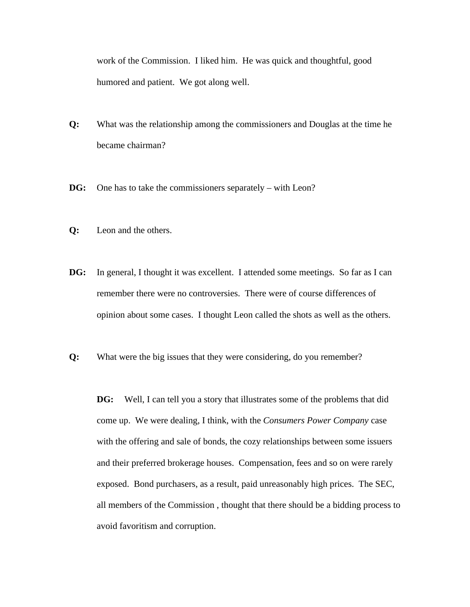work of the Commission. I liked him. He was quick and thoughtful, good humored and patient. We got along well.

- **Q:** What was the relationship among the commissioners and Douglas at the time he became chairman?
- **DG:** One has to take the commissioners separately with Leon?
- **Q:** Leon and the others.
- **DG:** In general, I thought it was excellent. I attended some meetings. So far as I can remember there were no controversies. There were of course differences of opinion about some cases. I thought Leon called the shots as well as the others.
- **Q:** What were the big issues that they were considering, do you remember?

**DG:** Well, I can tell you a story that illustrates some of the problems that did come up. We were dealing, I think, with the *Consumers Power Company* case with the offering and sale of bonds, the cozy relationships between some issuers and their preferred brokerage houses. Compensation, fees and so on were rarely exposed. Bond purchasers, as a result, paid unreasonably high prices. The SEC, all members of the Commission , thought that there should be a bidding process to avoid favoritism and corruption.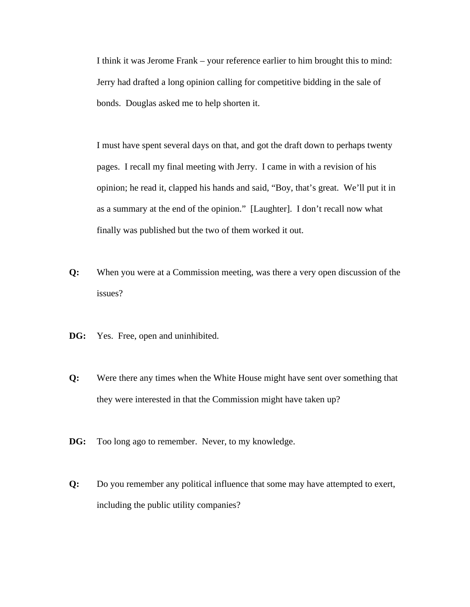I think it was Jerome Frank – your reference earlier to him brought this to mind: Jerry had drafted a long opinion calling for competitive bidding in the sale of bonds. Douglas asked me to help shorten it.

I must have spent several days on that, and got the draft down to perhaps twenty pages. I recall my final meeting with Jerry. I came in with a revision of his opinion; he read it, clapped his hands and said, "Boy, that's great. We'll put it in as a summary at the end of the opinion." [Laughter]. I don't recall now what finally was published but the two of them worked it out.

- **Q:** When you were at a Commission meeting, was there a very open discussion of the issues?
- **DG:** Yes. Free, open and uninhibited.
- **Q:** Were there any times when the White House might have sent over something that they were interested in that the Commission might have taken up?
- **DG:** Too long ago to remember. Never, to my knowledge.
- **Q:** Do you remember any political influence that some may have attempted to exert, including the public utility companies?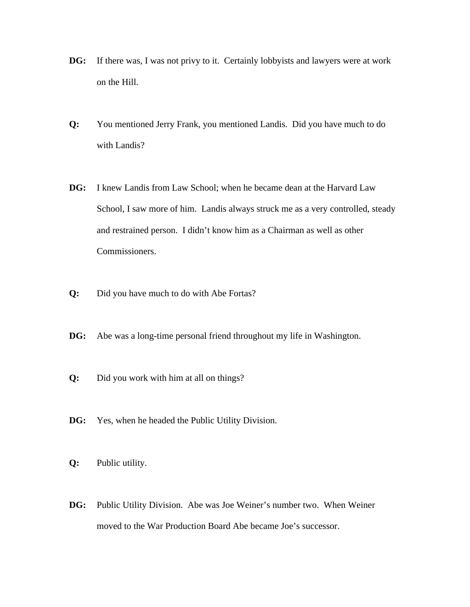- **DG:** If there was, I was not privy to it. Certainly lobbyists and lawyers were at work on the Hill.
- **Q:** You mentioned Jerry Frank, you mentioned Landis. Did you have much to do with Landis?
- **DG:** I knew Landis from Law School; when he became dean at the Harvard Law School, I saw more of him. Landis always struck me as a very controlled, steady and restrained person. I didn't know him as a Chairman as well as other Commissioners.
- **Q:** Did you have much to do with Abe Fortas?
- **DG:** Abe was a long-time personal friend throughout my life in Washington.
- **Q:** Did you work with him at all on things?
- **DG:** Yes, when he headed the Public Utility Division.
- **Q:** Public utility.
- **DG:** Public Utility Division. Abe was Joe Weiner's number two. When Weiner moved to the War Production Board Abe became Joe's successor.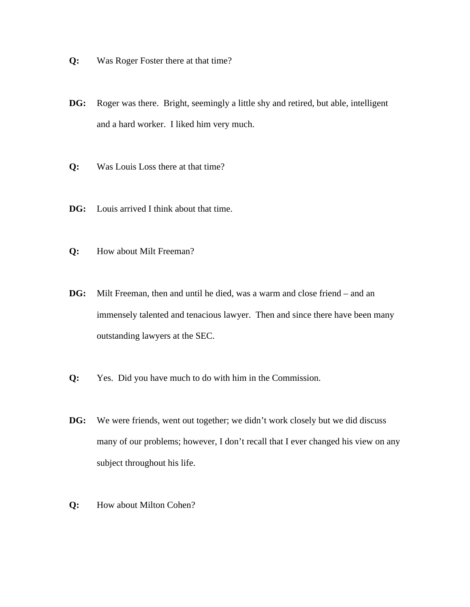- **Q:** Was Roger Foster there at that time?
- **DG:** Roger was there. Bright, seemingly a little shy and retired, but able, intelligent and a hard worker. I liked him very much.
- **Q:** Was Louis Loss there at that time?
- **DG:** Louis arrived I think about that time.
- **Q:** How about Milt Freeman?
- **DG:** Milt Freeman, then and until he died, was a warm and close friend and an immensely talented and tenacious lawyer. Then and since there have been many outstanding lawyers at the SEC.
- **Q:** Yes. Did you have much to do with him in the Commission.
- **DG:** We were friends, went out together; we didn't work closely but we did discuss many of our problems; however, I don't recall that I ever changed his view on any subject throughout his life.
- **Q:** How about Milton Cohen?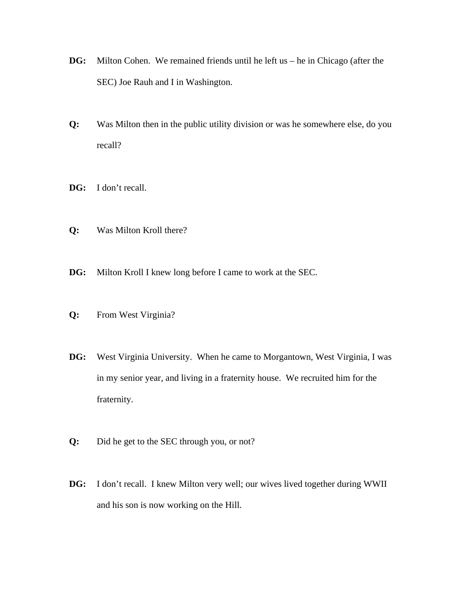- **DG:** Milton Cohen. We remained friends until he left us he in Chicago (after the SEC) Joe Rauh and I in Washington.
- **Q:** Was Milton then in the public utility division or was he somewhere else, do you recall?
- **DG:** I don't recall.
- **Q:** Was Milton Kroll there?
- **DG:** Milton Kroll I knew long before I came to work at the SEC.
- **Q:** From West Virginia?
- **DG:** West Virginia University. When he came to Morgantown, West Virginia, I was in my senior year, and living in a fraternity house. We recruited him for the fraternity.
- **Q:** Did he get to the SEC through you, or not?
- **DG:** I don't recall. I knew Milton very well; our wives lived together during WWII and his son is now working on the Hill.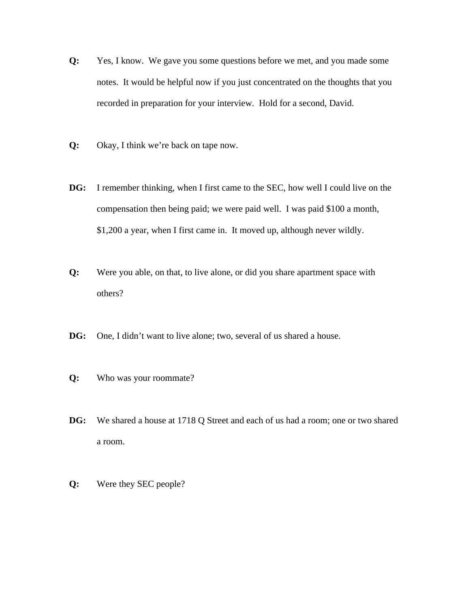- **Q:** Yes, I know. We gave you some questions before we met, and you made some notes. It would be helpful now if you just concentrated on the thoughts that you recorded in preparation for your interview. Hold for a second, David.
- **Q:** Okay, I think we're back on tape now.
- **DG:** I remember thinking, when I first came to the SEC, how well I could live on the compensation then being paid; we were paid well. I was paid \$100 a month, \$1,200 a year, when I first came in. It moved up, although never wildly.
- **Q:** Were you able, on that, to live alone, or did you share apartment space with others?
- **DG:** One, I didn't want to live alone; two, several of us shared a house.
- **Q:** Who was your roommate?
- **DG:** We shared a house at 1718 Q Street and each of us had a room; one or two shared a room.
- **Q:** Were they SEC people?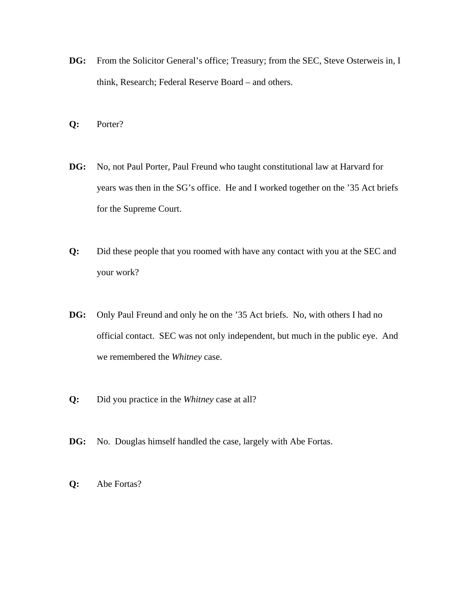- DG: From the Solicitor General's office; Treasury; from the SEC, Steve Osterweis in, I think, Research; Federal Reserve Board – and others.
- **Q:** Porter?
- **DG:** No, not Paul Porter, Paul Freund who taught constitutional law at Harvard for years was then in the SG's office. He and I worked together on the '35 Act briefs for the Supreme Court.
- **Q:** Did these people that you roomed with have any contact with you at the SEC and your work?
- **DG:** Only Paul Freund and only he on the '35 Act briefs. No, with others I had no official contact. SEC was not only independent, but much in the public eye. And we remembered the *Whitney* case.
- **Q:** Did you practice in the *Whitney* case at all?
- **DG:** No. Douglas himself handled the case, largely with Abe Fortas.
- **Q:** Abe Fortas?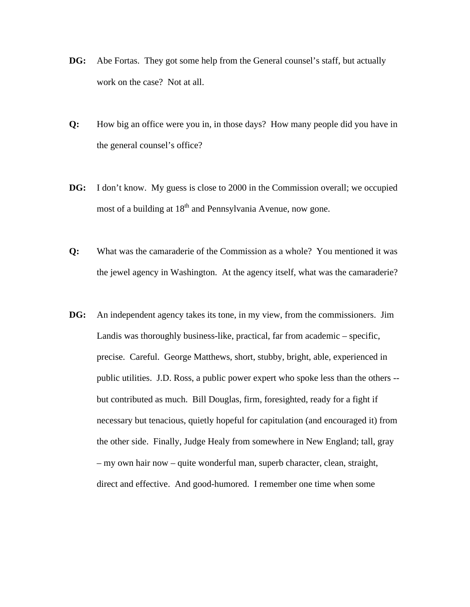- **DG:** Abe Fortas. They got some help from the General counsel's staff, but actually work on the case? Not at all.
- **Q:** How big an office were you in, in those days? How many people did you have in the general counsel's office?
- **DG:** I don't know. My guess is close to 2000 in the Commission overall; we occupied most of a building at 18<sup>th</sup> and Pennsylvania Avenue, now gone.
- **Q:** What was the camaraderie of the Commission as a whole? You mentioned it was the jewel agency in Washington. At the agency itself, what was the camaraderie?
- **DG:** An independent agency takes its tone, in my view, from the commissioners. Jim Landis was thoroughly business-like, practical, far from academic – specific, precise. Careful. George Matthews, short, stubby, bright, able, experienced in public utilities. J.D. Ross, a public power expert who spoke less than the others - but contributed as much. Bill Douglas, firm, foresighted, ready for a fight if necessary but tenacious, quietly hopeful for capitulation (and encouraged it) from the other side. Finally, Judge Healy from somewhere in New England; tall, gray – my own hair now – quite wonderful man, superb character, clean, straight, direct and effective. And good-humored. I remember one time when some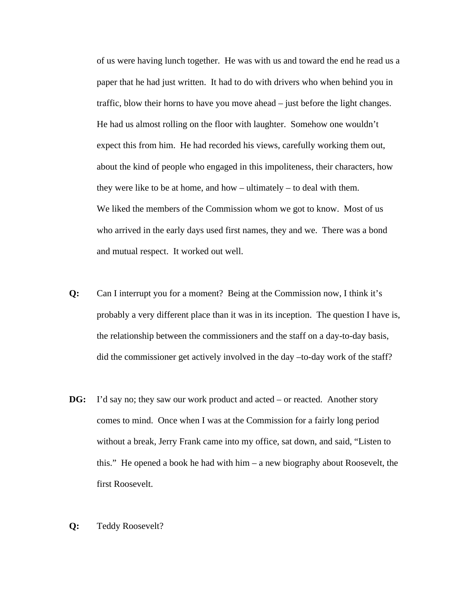of us were having lunch together. He was with us and toward the end he read us a paper that he had just written. It had to do with drivers who when behind you in traffic, blow their horns to have you move ahead – just before the light changes. He had us almost rolling on the floor with laughter. Somehow one wouldn't expect this from him. He had recorded his views, carefully working them out, about the kind of people who engaged in this impoliteness, their characters, how they were like to be at home, and how – ultimately – to deal with them. We liked the members of the Commission whom we got to know. Most of us who arrived in the early days used first names, they and we. There was a bond and mutual respect. It worked out well.

- **Q:** Can I interrupt you for a moment? Being at the Commission now, I think it's probably a very different place than it was in its inception. The question I have is, the relationship between the commissioners and the staff on a day-to-day basis, did the commissioner get actively involved in the day –to-day work of the staff?
- **DG:** I'd say no; they saw our work product and acted or reacted. Another story comes to mind. Once when I was at the Commission for a fairly long period without a break, Jerry Frank came into my office, sat down, and said, "Listen to this." He opened a book he had with him – a new biography about Roosevelt, the first Roosevelt.
- **Q:** Teddy Roosevelt?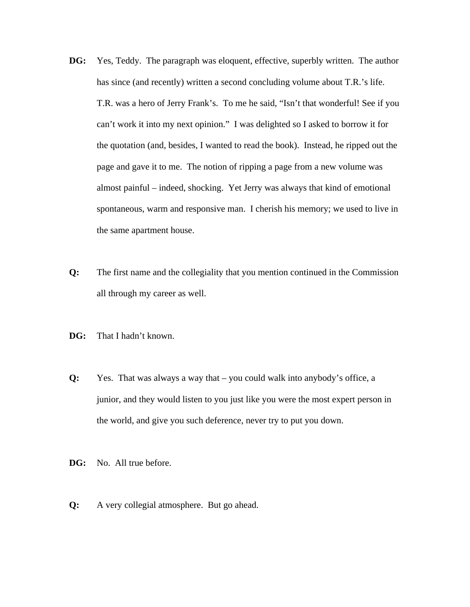- **DG:** Yes, Teddy. The paragraph was eloquent, effective, superbly written. The author has since (and recently) written a second concluding volume about T.R.'s life. T.R. was a hero of Jerry Frank's. To me he said, "Isn't that wonderful! See if you can't work it into my next opinion." I was delighted so I asked to borrow it for the quotation (and, besides, I wanted to read the book). Instead, he ripped out the page and gave it to me. The notion of ripping a page from a new volume was almost painful – indeed, shocking. Yet Jerry was always that kind of emotional spontaneous, warm and responsive man. I cherish his memory; we used to live in the same apartment house.
- **Q:** The first name and the collegiality that you mention continued in the Commission all through my career as well.
- **DG:** That I hadn't known.
- **Q:** Yes. That was always a way that you could walk into anybody's office, a junior, and they would listen to you just like you were the most expert person in the world, and give you such deference, never try to put you down.
- **DG:** No. All true before.
- **Q:** A very collegial atmosphere. But go ahead.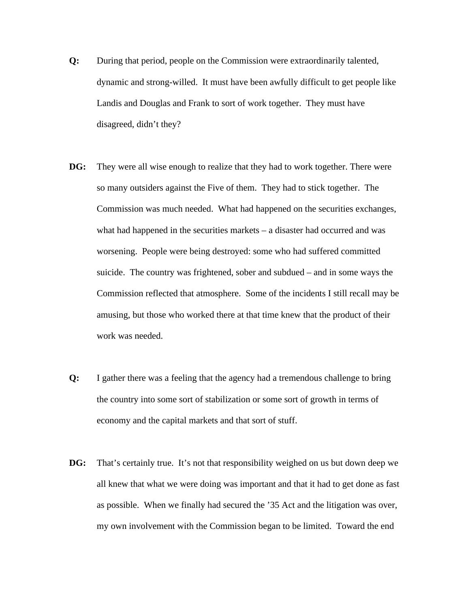- **Q:** During that period, people on the Commission were extraordinarily talented, dynamic and strong-willed. It must have been awfully difficult to get people like Landis and Douglas and Frank to sort of work together. They must have disagreed, didn't they?
- **DG:** They were all wise enough to realize that they had to work together. There were so many outsiders against the Five of them. They had to stick together. The Commission was much needed. What had happened on the securities exchanges, what had happened in the securities markets – a disaster had occurred and was worsening. People were being destroyed: some who had suffered committed suicide. The country was frightened, sober and subdued – and in some ways the Commission reflected that atmosphere. Some of the incidents I still recall may be amusing, but those who worked there at that time knew that the product of their work was needed.
- **Q:** I gather there was a feeling that the agency had a tremendous challenge to bring the country into some sort of stabilization or some sort of growth in terms of economy and the capital markets and that sort of stuff.
- **DG:** That's certainly true. It's not that responsibility weighed on us but down deep we all knew that what we were doing was important and that it had to get done as fast as possible. When we finally had secured the '35 Act and the litigation was over, my own involvement with the Commission began to be limited. Toward the end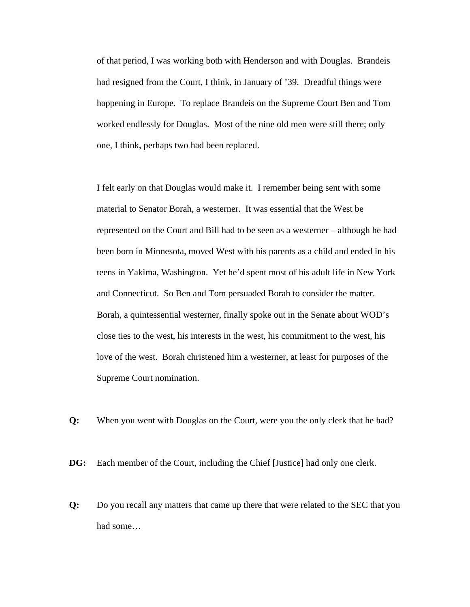of that period, I was working both with Henderson and with Douglas. Brandeis had resigned from the Court, I think, in January of '39. Dreadful things were happening in Europe. To replace Brandeis on the Supreme Court Ben and Tom worked endlessly for Douglas. Most of the nine old men were still there; only one, I think, perhaps two had been replaced.

I felt early on that Douglas would make it. I remember being sent with some material to Senator Borah, a westerner. It was essential that the West be represented on the Court and Bill had to be seen as a westerner – although he had been born in Minnesota, moved West with his parents as a child and ended in his teens in Yakima, Washington. Yet he'd spent most of his adult life in New York and Connecticut. So Ben and Tom persuaded Borah to consider the matter. Borah, a quintessential westerner, finally spoke out in the Senate about WOD's close ties to the west, his interests in the west, his commitment to the west, his love of the west. Borah christened him a westerner, at least for purposes of the Supreme Court nomination.

**Q:** When you went with Douglas on the Court, were you the only clerk that he had?

**DG:** Each member of the Court, including the Chief [Justice] had only one clerk.

**Q:** Do you recall any matters that came up there that were related to the SEC that you had some…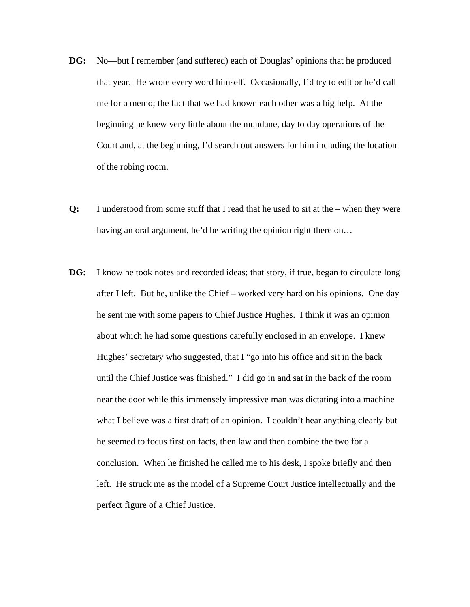- **DG:** No—but I remember (and suffered) each of Douglas' opinions that he produced that year. He wrote every word himself. Occasionally, I'd try to edit or he'd call me for a memo; the fact that we had known each other was a big help. At the beginning he knew very little about the mundane, day to day operations of the Court and, at the beginning, I'd search out answers for him including the location of the robing room.
- **Q:** I understood from some stuff that I read that he used to sit at the when they were having an oral argument, he'd be writing the opinion right there on…
- **DG:** I know he took notes and recorded ideas; that story, if true, began to circulate long after I left. But he, unlike the Chief – worked very hard on his opinions. One day he sent me with some papers to Chief Justice Hughes. I think it was an opinion about which he had some questions carefully enclosed in an envelope. I knew Hughes' secretary who suggested, that I "go into his office and sit in the back until the Chief Justice was finished." I did go in and sat in the back of the room near the door while this immensely impressive man was dictating into a machine what I believe was a first draft of an opinion. I couldn't hear anything clearly but he seemed to focus first on facts, then law and then combine the two for a conclusion. When he finished he called me to his desk, I spoke briefly and then left. He struck me as the model of a Supreme Court Justice intellectually and the perfect figure of a Chief Justice.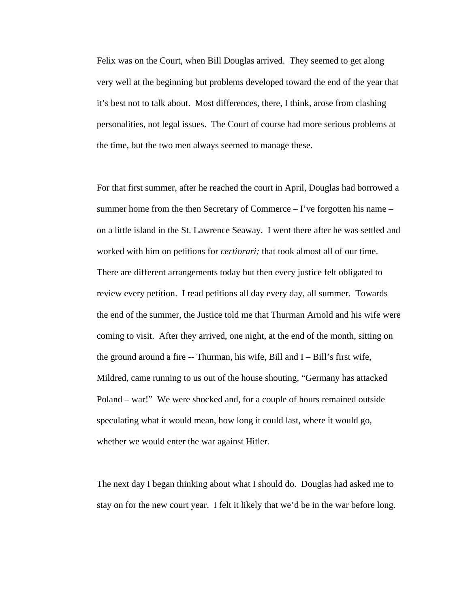Felix was on the Court, when Bill Douglas arrived. They seemed to get along very well at the beginning but problems developed toward the end of the year that it's best not to talk about. Most differences, there, I think, arose from clashing personalities, not legal issues. The Court of course had more serious problems at the time, but the two men always seemed to manage these.

For that first summer, after he reached the court in April, Douglas had borrowed a summer home from the then Secretary of Commerce – I've forgotten his name – on a little island in the St. Lawrence Seaway. I went there after he was settled and worked with him on petitions for *certiorari;* that took almost all of our time. There are different arrangements today but then every justice felt obligated to review every petition. I read petitions all day every day, all summer. Towards the end of the summer, the Justice told me that Thurman Arnold and his wife were coming to visit. After they arrived, one night, at the end of the month, sitting on the ground around a fire -- Thurman, his wife, Bill and I – Bill's first wife, Mildred, came running to us out of the house shouting, "Germany has attacked Poland – war!" We were shocked and, for a couple of hours remained outside speculating what it would mean, how long it could last, where it would go, whether we would enter the war against Hitler.

The next day I began thinking about what I should do. Douglas had asked me to stay on for the new court year. I felt it likely that we'd be in the war before long.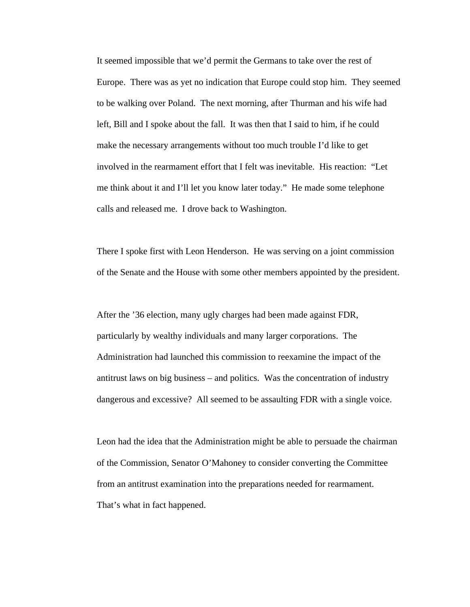It seemed impossible that we'd permit the Germans to take over the rest of Europe. There was as yet no indication that Europe could stop him. They seemed to be walking over Poland. The next morning, after Thurman and his wife had left, Bill and I spoke about the fall. It was then that I said to him, if he could make the necessary arrangements without too much trouble I'd like to get involved in the rearmament effort that I felt was inevitable. His reaction: "Let me think about it and I'll let you know later today." He made some telephone calls and released me. I drove back to Washington.

There I spoke first with Leon Henderson. He was serving on a joint commission of the Senate and the House with some other members appointed by the president.

After the '36 election, many ugly charges had been made against FDR, particularly by wealthy individuals and many larger corporations. The Administration had launched this commission to reexamine the impact of the antitrust laws on big business – and politics. Was the concentration of industry dangerous and excessive? All seemed to be assaulting FDR with a single voice.

Leon had the idea that the Administration might be able to persuade the chairman of the Commission, Senator O'Mahoney to consider converting the Committee from an antitrust examination into the preparations needed for rearmament. That's what in fact happened.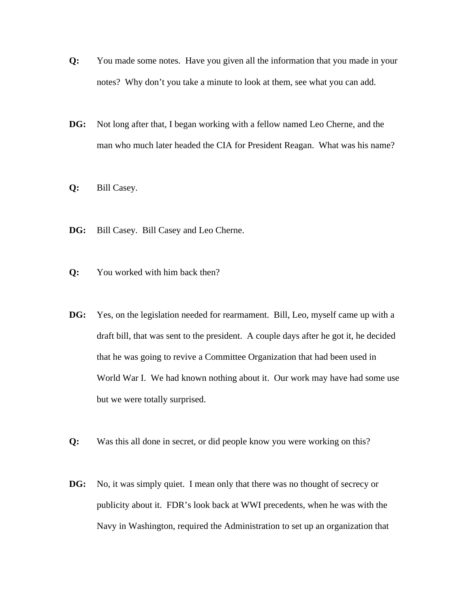- **Q:** You made some notes. Have you given all the information that you made in your notes? Why don't you take a minute to look at them, see what you can add.
- **DG:** Not long after that, I began working with a fellow named Leo Cherne, and the man who much later headed the CIA for President Reagan. What was his name?
- **Q:** Bill Casey.
- **DG:** Bill Casey. Bill Casey and Leo Cherne.
- **Q:** You worked with him back then?
- **DG:** Yes, on the legislation needed for rearmament. Bill, Leo, myself came up with a draft bill, that was sent to the president. A couple days after he got it, he decided that he was going to revive a Committee Organization that had been used in World War I. We had known nothing about it. Our work may have had some use but we were totally surprised.
- **Q:** Was this all done in secret, or did people know you were working on this?
- **DG:** No, it was simply quiet. I mean only that there was no thought of secrecy or publicity about it. FDR's look back at WWI precedents, when he was with the Navy in Washington, required the Administration to set up an organization that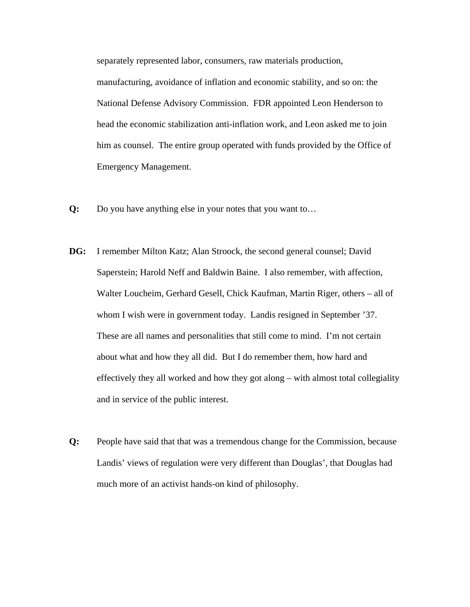separately represented labor, consumers, raw materials production, manufacturing, avoidance of inflation and economic stability, and so on: the National Defense Advisory Commission. FDR appointed Leon Henderson to head the economic stabilization anti-inflation work, and Leon asked me to join him as counsel. The entire group operated with funds provided by the Office of Emergency Management.

- **Q:** Do you have anything else in your notes that you want to…
- **DG:** I remember Milton Katz; Alan Stroock, the second general counsel; David Saperstein; Harold Neff and Baldwin Baine. I also remember, with affection, Walter Loucheim, Gerhard Gesell, Chick Kaufman, Martin Riger, others – all of whom I wish were in government today. Landis resigned in September '37. These are all names and personalities that still come to mind. I'm not certain about what and how they all did. But I do remember them, how hard and effectively they all worked and how they got along – with almost total collegiality and in service of the public interest.
- **Q:** People have said that that was a tremendous change for the Commission, because Landis' views of regulation were very different than Douglas', that Douglas had much more of an activist hands-on kind of philosophy.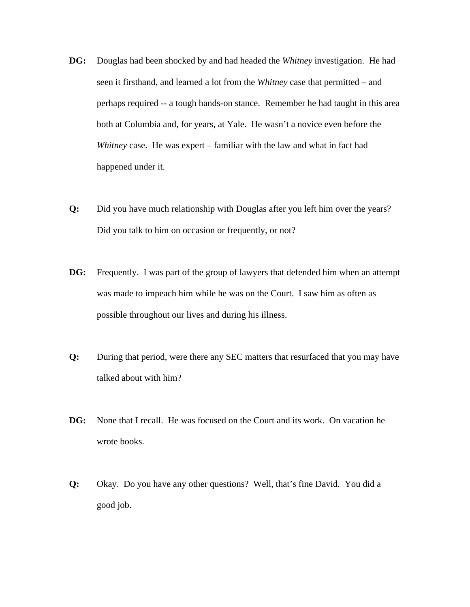- **DG:** Douglas had been shocked by and had headed the *Whitney* investigation. He had seen it firsthand, and learned a lot from the *Whitney* case that permitted – and perhaps required -- a tough hands-on stance. Remember he had taught in this area both at Columbia and, for years, at Yale. He wasn't a novice even before the *Whitney* case. He was expert – familiar with the law and what in fact had happened under it.
- **Q:** Did you have much relationship with Douglas after you left him over the years? Did you talk to him on occasion or frequently, or not?
- **DG:** Frequently. I was part of the group of lawyers that defended him when an attempt was made to impeach him while he was on the Court. I saw him as often as possible throughout our lives and during his illness.
- **Q:** During that period, were there any SEC matters that resurfaced that you may have talked about with him?
- **DG:** None that I recall. He was focused on the Court and its work. On vacation he wrote books.
- **Q:** Okay. Do you have any other questions? Well, that's fine David. You did a good job.